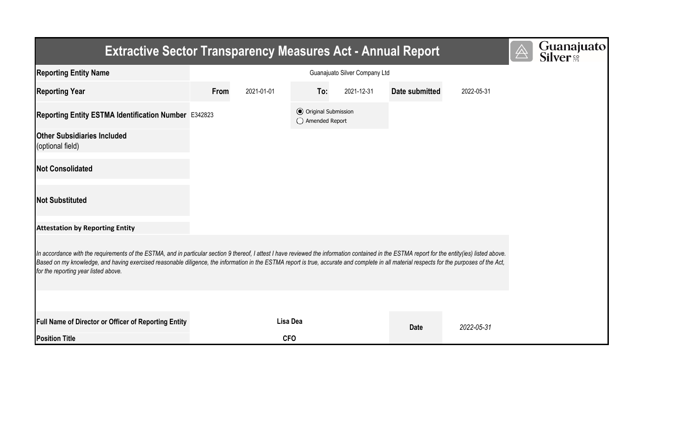| <b>Extractive Sector Transparency Measures Act - Annual Report</b>                                                                                                                                                                                                                                                                                                                                                                    | $\overline{\mathbb{A}}$ | Guanajuato<br>Silver <sup>e</sup> |                                                  |            |                |            |  |  |  |  |  |
|---------------------------------------------------------------------------------------------------------------------------------------------------------------------------------------------------------------------------------------------------------------------------------------------------------------------------------------------------------------------------------------------------------------------------------------|-------------------------|-----------------------------------|--------------------------------------------------|------------|----------------|------------|--|--|--|--|--|
| <b>Reporting Entity Name</b>                                                                                                                                                                                                                                                                                                                                                                                                          |                         |                                   |                                                  |            |                |            |  |  |  |  |  |
| <b>Reporting Year</b>                                                                                                                                                                                                                                                                                                                                                                                                                 | From                    | 2021-01-01                        | To:                                              | 2021-12-31 | Date submitted | 2022-05-31 |  |  |  |  |  |
| Reporting Entity ESTMA Identification Number E342823                                                                                                                                                                                                                                                                                                                                                                                  |                         |                                   | <b>⊙</b> Original Submission<br>◯ Amended Report |            |                |            |  |  |  |  |  |
| <b>Other Subsidiaries Included</b><br>(optional field)                                                                                                                                                                                                                                                                                                                                                                                |                         |                                   |                                                  |            |                |            |  |  |  |  |  |
| <b>Not Consolidated</b>                                                                                                                                                                                                                                                                                                                                                                                                               |                         |                                   |                                                  |            |                |            |  |  |  |  |  |
| <b>Not Substituted</b>                                                                                                                                                                                                                                                                                                                                                                                                                |                         |                                   |                                                  |            |                |            |  |  |  |  |  |
| <b>Attestation by Reporting Entity</b>                                                                                                                                                                                                                                                                                                                                                                                                |                         |                                   |                                                  |            |                |            |  |  |  |  |  |
| In accordance with the requirements of the ESTMA, and in particular section 9 thereof, I attest I have reviewed the information contained in the ESTMA report for the entity(ies) listed above.<br>Based on my knowledge, and having exercised reasonable diligence, the information in the ESTMA report is true, accurate and complete in all material respects for the purposes of the Act,<br>for the reporting year listed above. |                         |                                   |                                                  |            |                |            |  |  |  |  |  |
|                                                                                                                                                                                                                                                                                                                                                                                                                                       |                         |                                   |                                                  |            |                |            |  |  |  |  |  |
| <b>Full Name of Director or Officer of Reporting Entity</b>                                                                                                                                                                                                                                                                                                                                                                           |                         | Lisa Dea                          |                                                  |            | <b>Date</b>    | 2022-05-31 |  |  |  |  |  |
| <b>Position Title</b>                                                                                                                                                                                                                                                                                                                                                                                                                 |                         | <b>CFO</b>                        |                                                  |            |                |            |  |  |  |  |  |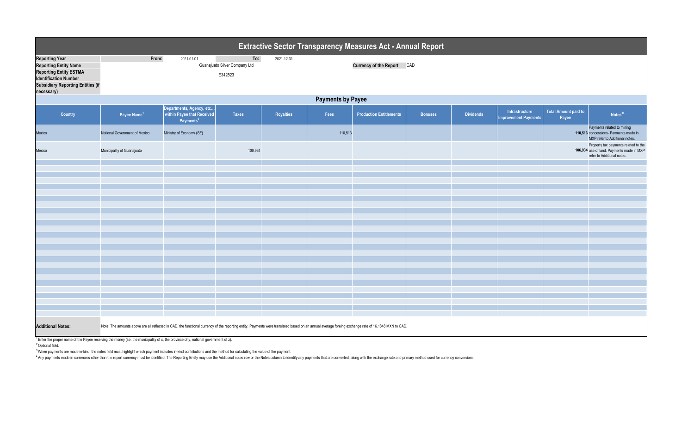|                                                                                                                                                                                  | <b>Extractive Sector Transparency Measures Act - Annual Report</b>                                                                                                                                  |                                                                                 |              |           |         |                                |                |                  |                                               |                                      |                                                                                                                 |
|----------------------------------------------------------------------------------------------------------------------------------------------------------------------------------|-----------------------------------------------------------------------------------------------------------------------------------------------------------------------------------------------------|---------------------------------------------------------------------------------|--------------|-----------|---------|--------------------------------|----------------|------------------|-----------------------------------------------|--------------------------------------|-----------------------------------------------------------------------------------------------------------------|
| <b>Reporting Year</b><br><b>Reporting Entity Name</b><br><b>Reporting Entity ESTMA</b><br><b>Identification Number</b><br><b>Subsidiary Reporting Entities (if</b><br>necessary) | From:<br>2021-01-01<br>To:<br>2021-12-31<br>Guanajuato Silver Company Ltd<br>Currency of the Report CAD<br>E342823                                                                                  |                                                                                 |              |           |         |                                |                |                  |                                               |                                      |                                                                                                                 |
|                                                                                                                                                                                  | <b>Payments by Payee</b>                                                                                                                                                                            |                                                                                 |              |           |         |                                |                |                  |                                               |                                      |                                                                                                                 |
| Country                                                                                                                                                                          | Payee Name <sup>1</sup>                                                                                                                                                                             | Departments, Agency, etc<br>within Payee that Received<br>Payments <sup>2</sup> | <b>Taxes</b> | Royalties | Fees    | <b>Production Entitlements</b> | <b>Bonuses</b> | <b>Dividends</b> | Infrastructure<br><b>Improvement Payments</b> | <b>Total Amount paid to</b><br>Payee | Notes <sup>34</sup>                                                                                             |
| Mexico                                                                                                                                                                           | National Government of Mexico                                                                                                                                                                       | Ministry of Economy (SE)                                                        |              |           | 110,513 |                                |                |                  |                                               |                                      | Payments related to mining<br>110,513 concessions- Payments made in<br>MXP refer to Additional notes.           |
| Mexico                                                                                                                                                                           | Municipality of Guanajuato                                                                                                                                                                          |                                                                                 | 106,934      |           |         |                                |                |                  |                                               |                                      | Property tax payments related to the<br>106,934 use of land. Payments made in MXP<br>refer to Additional notes. |
|                                                                                                                                                                                  |                                                                                                                                                                                                     |                                                                                 |              |           |         |                                |                |                  |                                               |                                      |                                                                                                                 |
|                                                                                                                                                                                  |                                                                                                                                                                                                     |                                                                                 |              |           |         |                                |                |                  |                                               |                                      |                                                                                                                 |
|                                                                                                                                                                                  |                                                                                                                                                                                                     |                                                                                 |              |           |         |                                |                |                  |                                               |                                      |                                                                                                                 |
|                                                                                                                                                                                  |                                                                                                                                                                                                     |                                                                                 |              |           |         |                                |                |                  |                                               |                                      |                                                                                                                 |
|                                                                                                                                                                                  |                                                                                                                                                                                                     |                                                                                 |              |           |         |                                |                |                  |                                               |                                      |                                                                                                                 |
|                                                                                                                                                                                  |                                                                                                                                                                                                     |                                                                                 |              |           |         |                                |                |                  |                                               |                                      |                                                                                                                 |
|                                                                                                                                                                                  |                                                                                                                                                                                                     |                                                                                 |              |           |         |                                |                |                  |                                               |                                      |                                                                                                                 |
|                                                                                                                                                                                  |                                                                                                                                                                                                     |                                                                                 |              |           |         |                                |                |                  |                                               |                                      |                                                                                                                 |
|                                                                                                                                                                                  |                                                                                                                                                                                                     |                                                                                 |              |           |         |                                |                |                  |                                               |                                      |                                                                                                                 |
|                                                                                                                                                                                  |                                                                                                                                                                                                     |                                                                                 |              |           |         |                                |                |                  |                                               |                                      |                                                                                                                 |
|                                                                                                                                                                                  |                                                                                                                                                                                                     |                                                                                 |              |           |         |                                |                |                  |                                               |                                      |                                                                                                                 |
|                                                                                                                                                                                  |                                                                                                                                                                                                     |                                                                                 |              |           |         |                                |                |                  |                                               |                                      |                                                                                                                 |
|                                                                                                                                                                                  |                                                                                                                                                                                                     |                                                                                 |              |           |         |                                |                |                  |                                               |                                      |                                                                                                                 |
|                                                                                                                                                                                  |                                                                                                                                                                                                     |                                                                                 |              |           |         |                                |                |                  |                                               |                                      |                                                                                                                 |
|                                                                                                                                                                                  |                                                                                                                                                                                                     |                                                                                 |              |           |         |                                |                |                  |                                               |                                      |                                                                                                                 |
|                                                                                                                                                                                  |                                                                                                                                                                                                     |                                                                                 |              |           |         |                                |                |                  |                                               |                                      |                                                                                                                 |
|                                                                                                                                                                                  |                                                                                                                                                                                                     |                                                                                 |              |           |         |                                |                |                  |                                               |                                      |                                                                                                                 |
|                                                                                                                                                                                  |                                                                                                                                                                                                     |                                                                                 |              |           |         |                                |                |                  |                                               |                                      |                                                                                                                 |
|                                                                                                                                                                                  |                                                                                                                                                                                                     |                                                                                 |              |           |         |                                |                |                  |                                               |                                      |                                                                                                                 |
| <b>Additional Notes:</b>                                                                                                                                                         | Note: The amounts above are all reflected in CAD, the functional currency of the reporting entity. Payments were translated based on an annual average foreing exchange rate of 16.1848 MXN to CAD. |                                                                                 |              |           |         |                                |                |                  |                                               |                                      |                                                                                                                 |

<sup>1</sup> Enter the proper name of the Payee receiving the money (i.e. the municipality of x, the province of y, national government of z).

<sup>2</sup> Optional field.

<sup>3</sup> When payments are made in-kind, the notes field must highlight which payment includes in-kind contributions and the method for calculating the value of the payment.

4 Any payments made in currencies other than the report currency must be identified. The Reporting Entity may use the Additional notes row or the Notes column to identify any payments that are converted, along with the exc